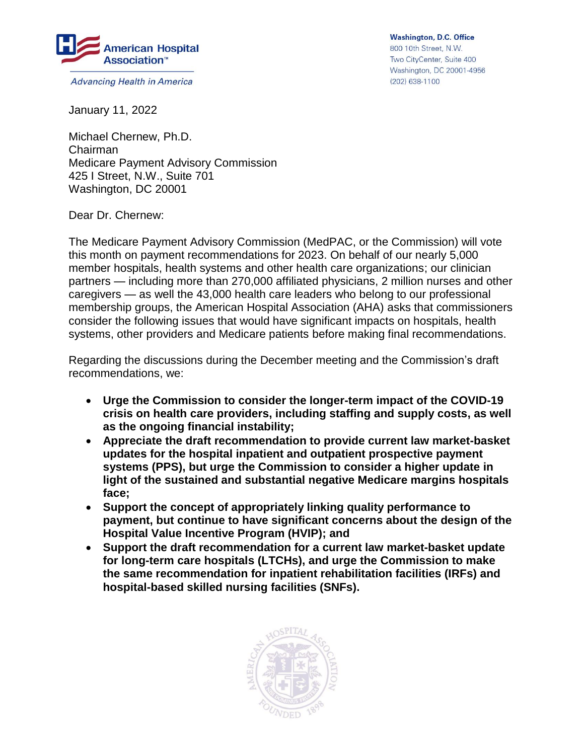

**Advancing Health in America** 

**Washington, D.C. Office** 800 10th Street, N.W. Two CityCenter, Suite 400 Washington, DC 20001-4956 (202) 638-1100

January 11, 2022

Michael Chernew, Ph.D. Chairman Medicare Payment Advisory Commission 425 I Street, N.W., Suite 701 Washington, DC 20001

Dear Dr. Chernew:

The Medicare Payment Advisory Commission (MedPAC, or the Commission) will vote this month on payment recommendations for 2023. On behalf of our nearly 5,000 member hospitals, health systems and other health care organizations; our clinician partners — including more than 270,000 affiliated physicians, 2 million nurses and other caregivers — as well the 43,000 health care leaders who belong to our professional membership groups, the American Hospital Association (AHA) asks that commissioners consider the following issues that would have significant impacts on hospitals, health systems, other providers and Medicare patients before making final recommendations.

Regarding the discussions during the December meeting and the Commission's draft recommendations, we:

- **Urge the Commission to consider the longer-term impact of the COVID-19 crisis on health care providers, including staffing and supply costs, as well as the ongoing financial instability;**
- **Appreciate the draft recommendation to provide current law market-basket updates for the hospital inpatient and outpatient prospective payment systems (PPS), but urge the Commission to consider a higher update in light of the sustained and substantial negative Medicare margins hospitals face;**
- **Support the concept of appropriately linking quality performance to payment, but continue to have significant concerns about the design of the Hospital Value Incentive Program (HVIP); and**
- **Support the draft recommendation for a current law market-basket update for long-term care hospitals (LTCHs), and urge the Commission to make the same recommendation for inpatient rehabilitation facilities (IRFs) and hospital-based skilled nursing facilities (SNFs).**

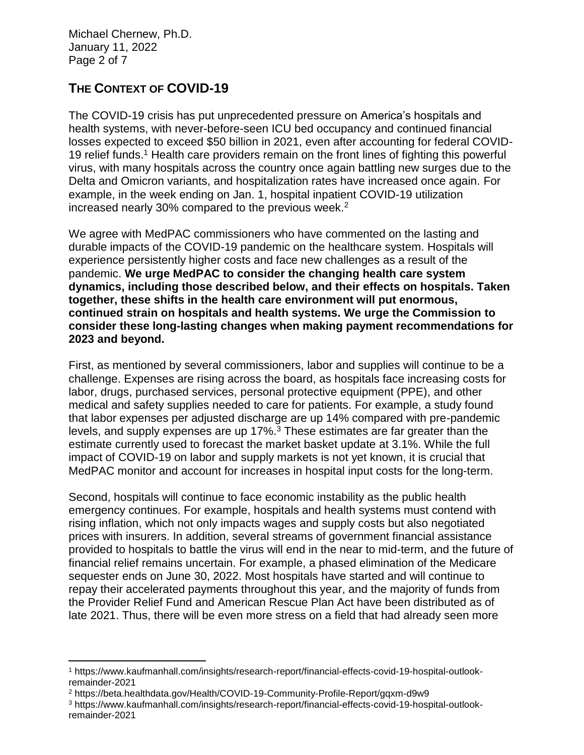Michael Chernew, Ph.D. January 11, 2022 Page 2 of 7

l

# **THE CONTEXT OF COVID-19**

The COVID-19 crisis has put unprecedented pressure on America's hospitals and health systems, with never-before-seen ICU bed occupancy and continued financial losses expected to exceed \$50 billion in 2021, even after accounting for federal COVID-19 relief funds.<sup>1</sup> Health care providers remain on the front lines of fighting this powerful virus, with many hospitals across the country once again battling new surges due to the Delta and Omicron variants, and hospitalization rates have increased once again. For example, in the week ending on Jan. 1, hospital inpatient COVID-19 utilization increased nearly 30% compared to the previous week. $2$ 

We agree with MedPAC commissioners who have commented on the lasting and durable impacts of the COVID-19 pandemic on the healthcare system. Hospitals will experience persistently higher costs and face new challenges as a result of the pandemic. **We urge MedPAC to consider the changing health care system dynamics, including those described below, and their effects on hospitals. Taken together, these shifts in the health care environment will put enormous, continued strain on hospitals and health systems. We urge the Commission to consider these long-lasting changes when making payment recommendations for 2023 and beyond.**

First, as mentioned by several commissioners, labor and supplies will continue to be a challenge. Expenses are rising across the board, as hospitals face increasing costs for labor, drugs, purchased services, personal protective equipment (PPE), and other medical and safety supplies needed to care for patients. For example, a study found that labor expenses per adjusted discharge are up 14% compared with pre-pandemic levels, and supply expenses are up 17%.<sup>3</sup> These estimates are far greater than the estimate currently used to forecast the market basket update at 3.1%. While the full impact of COVID-19 on labor and supply markets is not yet known, it is crucial that MedPAC monitor and account for increases in hospital input costs for the long-term.

Second, hospitals will continue to face economic instability as the public health emergency continues. For example, hospitals and health systems must contend with rising inflation, which not only impacts wages and supply costs but also negotiated prices with insurers. In addition, several streams of government financial assistance provided to hospitals to battle the virus will end in the near to mid-term, and the future of financial relief remains uncertain. For example, a phased elimination of the Medicare sequester ends on June 30, 2022. Most hospitals have started and will continue to repay their accelerated payments throughout this year, and the majority of funds from the Provider Relief Fund and American Rescue Plan Act have been distributed as of late 2021. Thus, there will be even more stress on a field that had already seen more

<sup>1</sup> https://www.kaufmanhall.com/insights/research-report/financial-effects-covid-19-hospital-outlookremainder-2021

<sup>2</sup> https://beta.healthdata.gov/Health/COVID-19-Community-Profile-Report/gqxm-d9w9

<sup>3</sup> https://www.kaufmanhall.com/insights/research-report/financial-effects-covid-19-hospital-outlookremainder-2021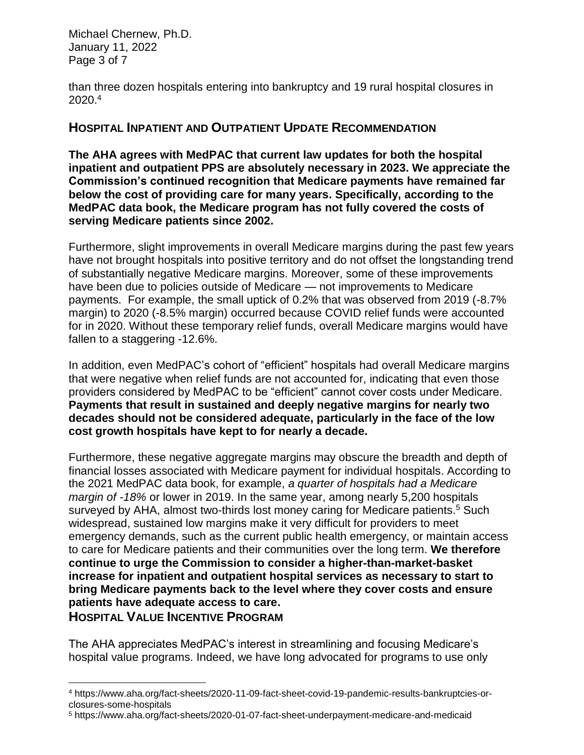Michael Chernew, Ph.D. January 11, 2022 Page 3 of 7

 $\overline{a}$ 

than three dozen hospitals entering into bankruptcy and 19 rural hospital closures in 2020. 4

### **HOSPITAL INPATIENT AND OUTPATIENT UPDATE RECOMMENDATION**

**The AHA agrees with MedPAC that current law updates for both the hospital inpatient and outpatient PPS are absolutely necessary in 2023. We appreciate the Commission's continued recognition that Medicare payments have remained far below the cost of providing care for many years. Specifically, according to the MedPAC data book, the Medicare program has not fully covered the costs of serving Medicare patients since 2002.**

Furthermore, slight improvements in overall Medicare margins during the past few years have not brought hospitals into positive territory and do not offset the longstanding trend of substantially negative Medicare margins. Moreover, some of these improvements have been due to policies outside of Medicare — not improvements to Medicare payments. For example, the small uptick of 0.2% that was observed from 2019 (-8.7% margin) to 2020 (-8.5% margin) occurred because COVID relief funds were accounted for in 2020. Without these temporary relief funds, overall Medicare margins would have fallen to a staggering -12.6%.

In addition, even MedPAC's cohort of "efficient" hospitals had overall Medicare margins that were negative when relief funds are not accounted for, indicating that even those providers considered by MedPAC to be "efficient" cannot cover costs under Medicare. **Payments that result in sustained and deeply negative margins for nearly two decades should not be considered adequate, particularly in the face of the low cost growth hospitals have kept to for nearly a decade.**

Furthermore, these negative aggregate margins may obscure the breadth and depth of financial losses associated with Medicare payment for individual hospitals. According to the 2021 MedPAC data book, for example, *a quarter of hospitals had a Medicare margin of -18%* or lower in 2019. In the same year, among nearly 5,200 hospitals surveyed by AHA, almost two-thirds lost money caring for Medicare patients.<sup>5</sup> Such widespread, sustained low margins make it very difficult for providers to meet emergency demands, such as the current public health emergency, or maintain access to care for Medicare patients and their communities over the long term. **We therefore continue to urge the Commission to consider a higher-than-market-basket increase for inpatient and outpatient hospital services as necessary to start to bring Medicare payments back to the level where they cover costs and ensure patients have adequate access to care. HOSPITAL VALUE INCENTIVE PROGRAM** 

The AHA appreciates MedPAC's interest in streamlining and focusing Medicare's hospital value programs. Indeed, we have long advocated for programs to use only

<sup>4</sup> https://www.aha.org/fact-sheets/2020-11-09-fact-sheet-covid-19-pandemic-results-bankruptcies-orclosures-some-hospitals

<sup>5</sup> https://www.aha.org/fact-sheets/2020-01-07-fact-sheet-underpayment-medicare-and-medicaid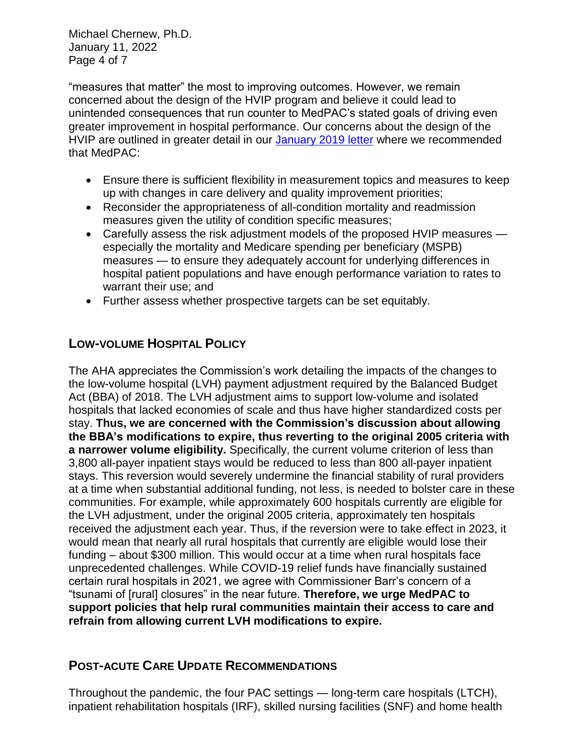Michael Chernew, Ph.D. January 11, 2022 Page 4 of 7

"measures that matter" the most to improving outcomes. However, we remain concerned about the design of the HVIP program and believe it could lead to unintended consequences that run counter to MedPAC's stated goals of driving even greater improvement in hospital performance. Our concerns about the design of the HVIP are outlined in greater detail in our January [2019 letter](https://www.aha.org/system/files/2019-01/aha-medpac-letter-payment-recommendations-for-2020-1-14-2019.pdf) where we recommended that MedPAC:

- Ensure there is sufficient flexibility in measurement topics and measures to keep up with changes in care delivery and quality improvement priorities;
- Reconsider the appropriateness of all-condition mortality and readmission measures given the utility of condition specific measures;
- Carefully assess the risk adjustment models of the proposed HVIP measures especially the mortality and Medicare spending per beneficiary (MSPB) measures — to ensure they adequately account for underlying differences in hospital patient populations and have enough performance variation to rates to warrant their use; and
- Further assess whether prospective targets can be set equitably.

## **LOW-VOLUME HOSPITAL POLICY**

The AHA appreciates the Commission's work detailing the impacts of the changes to the low-volume hospital (LVH) payment adjustment required by the Balanced Budget Act (BBA) of 2018. The LVH adjustment aims to support low-volume and isolated hospitals that lacked economies of scale and thus have higher standardized costs per stay. **Thus, we are concerned with the Commission's discussion about allowing the BBA's modifications to expire, thus reverting to the original 2005 criteria with a narrower volume eligibility.** Specifically, the current volume criterion of less than 3,800 all-payer inpatient stays would be reduced to less than 800 all-payer inpatient stays. This reversion would severely undermine the financial stability of rural providers at a time when substantial additional funding, not less, is needed to bolster care in these communities. For example, while approximately 600 hospitals currently are eligible for the LVH adjustment, under the original 2005 criteria, approximately ten hospitals received the adjustment each year. Thus, if the reversion were to take effect in 2023, it would mean that nearly all rural hospitals that currently are eligible would lose their funding – about \$300 million. This would occur at a time when rural hospitals face unprecedented challenges. While COVID-19 relief funds have financially sustained certain rural hospitals in 2021, we agree with Commissioner Barr's concern of a "tsunami of [rural] closures" in the near future. **Therefore, we urge MedPAC to support policies that help rural communities maintain their access to care and refrain from allowing current LVH modifications to expire.**

# **POST-ACUTE CARE UPDATE RECOMMENDATIONS**

Throughout the pandemic, the four PAC settings — long-term care hospitals (LTCH), inpatient rehabilitation hospitals (IRF), skilled nursing facilities (SNF) and home health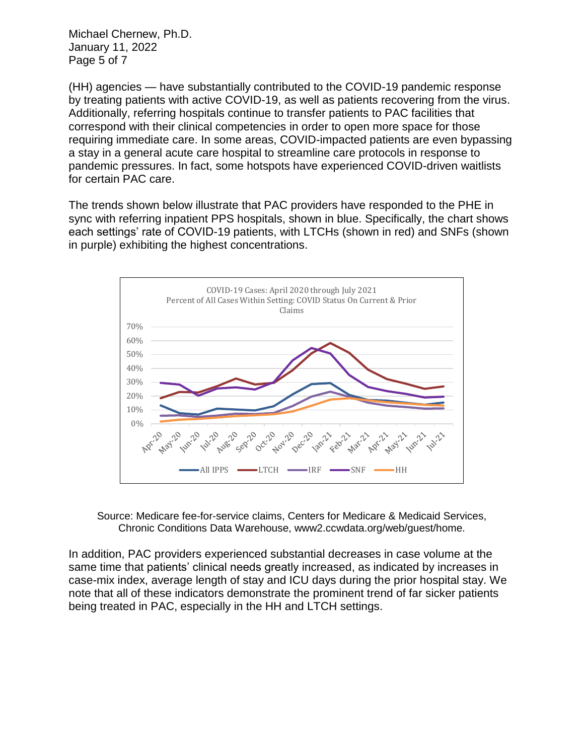Michael Chernew, Ph.D. January 11, 2022 Page 5 of 7

(HH) agencies — have substantially contributed to the COVID-19 pandemic response by treating patients with active COVID-19, as well as patients recovering from the virus. Additionally, referring hospitals continue to transfer patients to PAC facilities that correspond with their clinical competencies in order to open more space for those requiring immediate care. In some areas, COVID-impacted patients are even bypassing a stay in a general acute care hospital to streamline care protocols in response to pandemic pressures. In fact, some hotspots have experienced COVID-driven waitlists for certain PAC care.

The trends shown below illustrate that PAC providers have responded to the PHE in sync with referring inpatient PPS hospitals, shown in blue. Specifically, the chart shows each settings' rate of COVID-19 patients, with LTCHs (shown in red) and SNFs (shown in purple) exhibiting the highest concentrations.



Source: Medicare fee-for-service claims, Centers for Medicare & Medicaid Services, Chronic Conditions Data Warehouse, www2.ccwdata.org/web/guest/home.

In addition, PAC providers experienced substantial decreases in case volume at the same time that patients' clinical needs greatly increased, as indicated by increases in case-mix index, average length of stay and ICU days during the prior hospital stay. We note that all of these indicators demonstrate the prominent trend of far sicker patients being treated in PAC, especially in the HH and LTCH settings.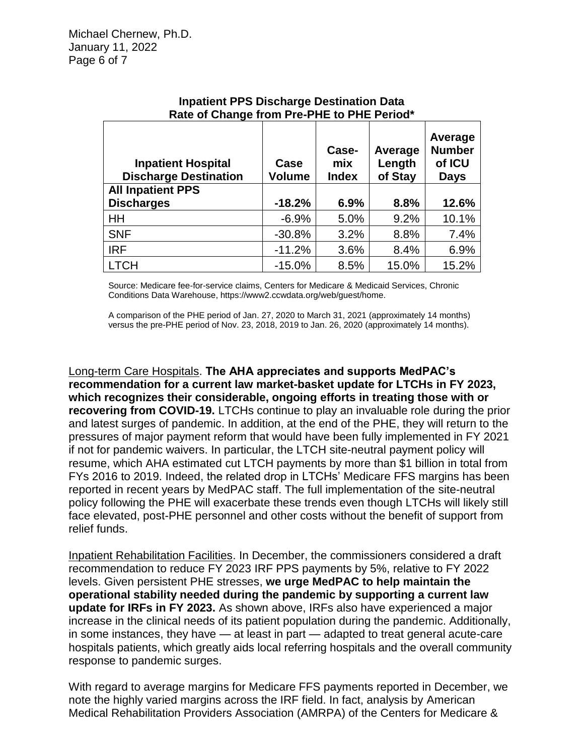| $1.000$ or onally nomino include to the tonou<br><b>Inpatient Hospital</b><br><b>Discharge Destination</b> | Case<br><b>Volume</b> | Case-<br>mix<br><b>Index</b> | Average<br>Length<br>of Stay | Average<br><b>Number</b><br>of ICU<br><b>Days</b> |
|------------------------------------------------------------------------------------------------------------|-----------------------|------------------------------|------------------------------|---------------------------------------------------|
| <b>All Inpatient PPS</b>                                                                                   |                       |                              |                              |                                                   |
| <b>Discharges</b>                                                                                          | $-18.2%$              | 6.9%                         | 8.8%                         | 12.6%                                             |
| HH                                                                                                         | $-6.9%$               | 5.0%                         | 9.2%                         | 10.1%                                             |
| <b>SNF</b>                                                                                                 | $-30.8%$              | 3.2%                         | 8.8%                         | 7.4%                                              |
| <b>IRF</b>                                                                                                 | $-11.2%$              | 3.6%                         | 8.4%                         | 6.9%                                              |
| <b>LTCH</b>                                                                                                | $-15.0%$              | 8.5%                         | 15.0%                        | 15.2%                                             |

#### **Inpatient PPS Discharge Destination Data Rate of Change from Pre-PHE to PHE Period\***

Source: Medicare fee-for-service claims, Centers for Medicare & Medicaid Services, Chronic Conditions Data Warehouse, https://www2.ccwdata.org/web/guest/home.

A comparison of the PHE period of Jan. 27, 2020 to March 31, 2021 (approximately 14 months) versus the pre-PHE period of Nov. 23, 2018, 2019 to Jan. 26, 2020 (approximately 14 months).

Long-term Care Hospitals. **The AHA appreciates and supports MedPAC's recommendation for a current law market-basket update for LTCHs in FY 2023, which recognizes their considerable, ongoing efforts in treating those with or recovering from COVID-19.** LTCHs continue to play an invaluable role during the prior and latest surges of pandemic. In addition, at the end of the PHE, they will return to the pressures of major payment reform that would have been fully implemented in FY 2021 if not for pandemic waivers. In particular, the LTCH site-neutral payment policy will resume, which AHA estimated cut LTCH payments by more than \$1 billion in total from FYs 2016 to 2019. Indeed, the related drop in LTCHs' Medicare FFS margins has been reported in recent years by MedPAC staff. The full implementation of the site-neutral policy following the PHE will exacerbate these trends even though LTCHs will likely still face elevated, post-PHE personnel and other costs without the benefit of support from relief funds.

Inpatient Rehabilitation Facilities. In December, the commissioners considered a draft recommendation to reduce FY 2023 IRF PPS payments by 5%, relative to FY 2022 levels. Given persistent PHE stresses, **we urge MedPAC to help maintain the operational stability needed during the pandemic by supporting a current law update for IRFs in FY 2023.** As shown above, IRFs also have experienced a major increase in the clinical needs of its patient population during the pandemic. Additionally, in some instances, they have — at least in part — adapted to treat general acute-care hospitals patients, which greatly aids local referring hospitals and the overall community response to pandemic surges.

With regard to average margins for Medicare FFS payments reported in December, we note the highly varied margins across the IRF field. In fact, analysis by American Medical Rehabilitation Providers Association (AMRPA) of the Centers for Medicare &